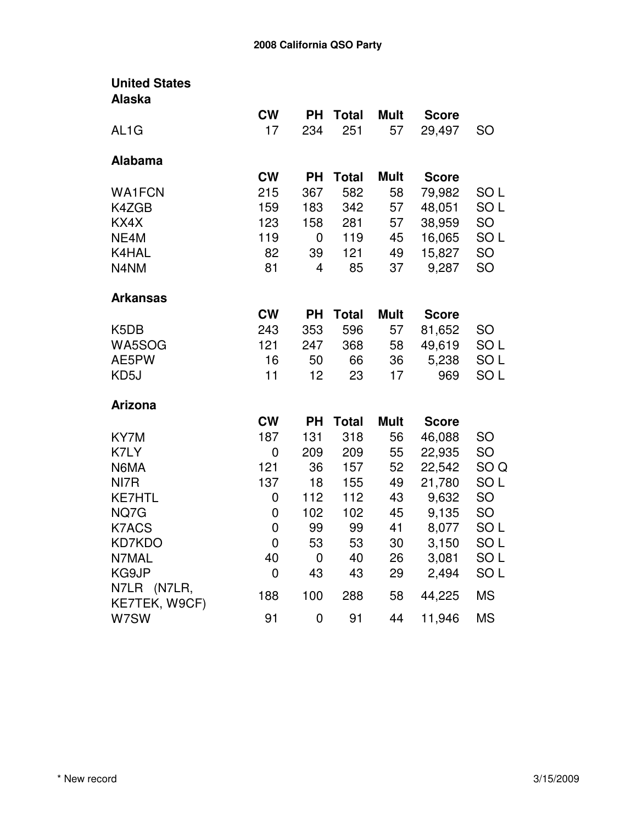| <b>United States</b> |                |           |              |             |              |                 |
|----------------------|----------------|-----------|--------------|-------------|--------------|-----------------|
| <b>Alaska</b>        |                |           |              |             |              |                 |
|                      | <b>CW</b>      | <b>PH</b> | <b>Total</b> | <b>Mult</b> | <b>Score</b> |                 |
| AL <sub>1</sub> G    | 17             | 234       | 251          | 57          | 29,497       | <b>SO</b>       |
| <b>Alabama</b>       |                |           |              |             |              |                 |
|                      | <b>CW</b>      | <b>PH</b> | <b>Total</b> | <b>Mult</b> | <b>Score</b> |                 |
| <b>WA1FCN</b>        | 215            | 367       | 582          | 58          | 79,982       | SO <sub>L</sub> |
| K4ZGB                | 159            | 183       | 342          | 57          | 48,051       | SO <sub>L</sub> |
| KX4X                 | 123            | 158       | 281          | 57          | 38,959       | <b>SO</b>       |
| NE4M                 | 119            | 0         | 119          | 45          | 16,065       | SO <sub>L</sub> |
| K4HAL                | 82             | 39        | 121          | 49          | 15,827       | SO              |
| N4NM                 | 81             | 4         | 85           | 37          | 9,287        | SO              |
| <b>Arkansas</b>      |                |           |              |             |              |                 |
|                      | <b>CW</b>      | <b>PH</b> | <b>Total</b> | <b>Mult</b> | <b>Score</b> |                 |
| K5DB                 | 243            | 353       | 596          | 57          | 81,652       | <b>SO</b>       |
| WA5SOG               | 121            | 247       | 368          | 58          | 49,619       | SO <sub>L</sub> |
| AE5PW                | 16             | 50        | 66           | 36          | 5,238        | SO <sub>L</sub> |
| KD5J                 | 11             | 12        | 23           | 17          | 969          | SO <sub>L</sub> |
| <b>Arizona</b>       |                |           |              |             |              |                 |
|                      | <b>CW</b>      | <b>PH</b> | <b>Total</b> | <b>Mult</b> | <b>Score</b> |                 |
| KY7M                 | 187            | 131       | 318          | 56          | 46,088       | <b>SO</b>       |
| K7LY                 | 0              | 209       | 209          | 55          | 22,935       | <b>SO</b>       |
| N6MA                 | 121            | 36        | 157          | 52          | 22,542       | SO Q            |
| NI7R                 | 137            | 18        | 155          | 49          | 21,780       | SO L            |
| <b>KE7HTL</b>        | 0              | 112       | 112          | 43          | 9,632        | <b>SO</b>       |
| NQ7G                 | 0              | 102       | 102          | 45          | 9,135        | SO              |
| <b>K7ACS</b>         | 0              | 99        | 99           | 41          | 8,077        | SO <sub>L</sub> |
| <b>KD7KDO</b>        | $\overline{0}$ | 53        | 53           | 30          | 3,150        | SO <sub>L</sub> |
| N7MAL                | 40             | 0         | 40           | 26          | 3,081        | SO L            |
| KG9JP                | 0              | 43        | 43           | 29          | 2,494        | SO <sub>L</sub> |
| N7LR (N7LR,          | 188            | 100       | 288          | 58          | 44,225       | <b>MS</b>       |
| KE7TEK, W9CF)        |                |           |              |             |              |                 |
| W7SW                 | 91             | 0         | 91           | 44          | 11,946       | <b>MS</b>       |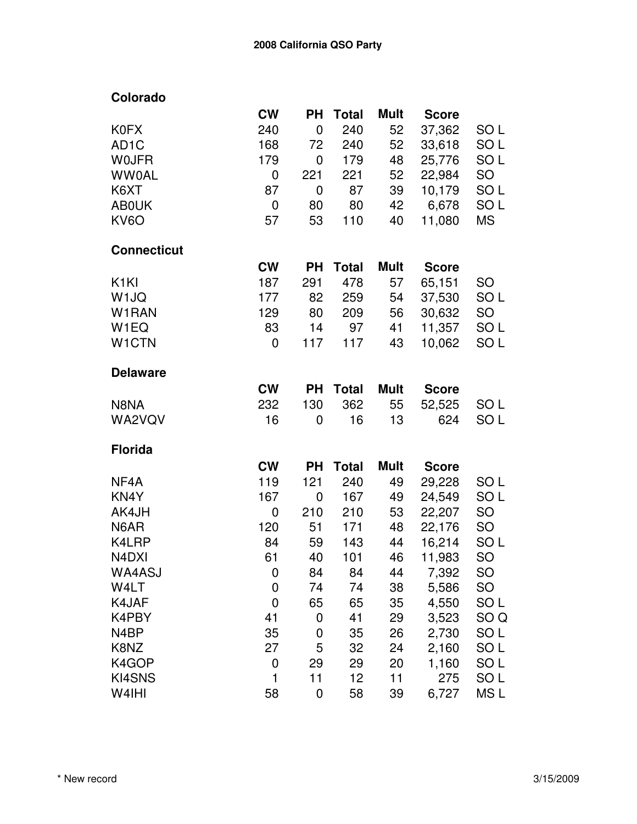| Colorado           |           |             |              |             |              |                 |
|--------------------|-----------|-------------|--------------|-------------|--------------|-----------------|
|                    | <b>CW</b> | <b>PH</b>   | <b>Total</b> | Mult        | <b>Score</b> |                 |
| <b>K0FX</b>        | 240       | $\mathbf 0$ | 240          | 52          | 37,362       | SO L            |
| AD <sub>1</sub> C  | 168       | 72          | 240          | 52          | 33,618       | SO <sub>L</sub> |
| <b>WOJFR</b>       | 179       | 0           | 179          | 48          | 25,776       | SO <sub>L</sub> |
| <b>WW0AL</b>       | 0         | 221         | 221          | 52          | 22,984       | SO              |
| K6XT               | 87        | 0           | 87           | 39          | 10,179       | SO <sub>L</sub> |
| <b>AB0UK</b>       | 0         | 80          | 80           | 42          | 6,678        | SO <sub>L</sub> |
| KV6O               | 57        | 53          | 110          | 40          | 11,080       | <b>MS</b>       |
| <b>Connecticut</b> |           |             |              |             |              |                 |
|                    | <b>CW</b> | <b>PH</b>   | <b>Total</b> | <b>Mult</b> | <b>Score</b> |                 |
| K <sub>1</sub> KI  | 187       | 291         | 478          | 57          | 65,151       | <b>SO</b>       |
| W <sub>1JQ</sub>   | 177       | 82          | 259          | 54          | 37,530       | SO <sub>L</sub> |
| W1RAN              | 129       | 80          | 209          | 56          | 30,632       | <b>SO</b>       |
| W <sub>1</sub> EQ  | 83        | 14          | 97           | 41          | 11,357       | SO <sub>L</sub> |
| W <sub>1</sub> CTN | 0         | 117         | 117          | 43          | 10,062       | SO <sub>L</sub> |
| <b>Delaware</b>    |           |             |              |             |              |                 |
|                    | <b>CW</b> | <b>PH</b>   | <b>Total</b> | <b>Mult</b> | <b>Score</b> |                 |
| N8NA               | 232       | 130         | 362          | 55          | 52,525       | SO L            |
| WA2VQV             | 16        | 0           | 16           | 13          | 624          | SO <sub>L</sub> |
| <b>Florida</b>     |           |             |              |             |              |                 |
|                    | <b>CW</b> | <b>PH</b>   | <b>Total</b> | <b>Mult</b> | <b>Score</b> |                 |
| NF4A               | 119       | 121         | 240          | 49          | 29,228       | SO <sub>L</sub> |
| KN4Y               | 167       | 0           | 167          | 49          | 24,549       | SO <sub>L</sub> |
| AK4JH              | 0         | 210         | 210          | 53          | 22,207       | <b>SO</b>       |
| N6AR               | 120       | 51          | 171          | 48          | 22,176       | <b>SO</b>       |
| K4LRP              | 84        | 59          | 143          | 44          | 16,214       | SO <sub>L</sub> |
| N4DXI              | 61        | 40          | 101          | 46          | 11,983       | SO              |
| WA4ASJ             | 0         | 84          | 84           | 44          | 7,392        | <b>SO</b>       |
| W4LT               | 0         | 74          | 74           | 38          | 5,586        | <b>SO</b>       |
| K4JAF              | 0         | 65          | 65           | 35          | 4,550        | SO <sub>L</sub> |
| K4PBY              | 41        | 0           | 41           | 29          | 3,523        | SO <sub>Q</sub> |
| N4BP               | 35        | 0           | 35           | 26          | 2,730        | SO <sub>L</sub> |
| K8NZ               | 27        | 5           | 32           | 24          | 2,160        | SO <sub>L</sub> |
| K4GOP              | 0         | 29          | 29           | 20          | 1,160        | SO <sub>L</sub> |
| KI4SNS             | 1         | 11          | 12           | 11          | 275          | SO <sub>L</sub> |
| W4IHI              | 58        | $\mathbf 0$ | 58           | 39          | 6,727        | MS <sub>L</sub> |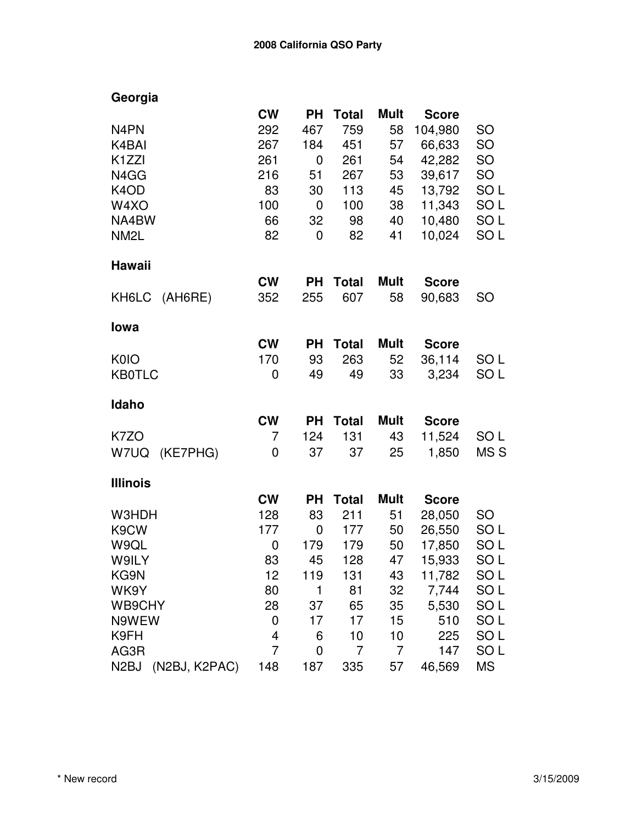| Georgia                       |                |           |              |             |              |                 |
|-------------------------------|----------------|-----------|--------------|-------------|--------------|-----------------|
|                               | <b>CW</b>      | <b>PH</b> | <b>Total</b> | <b>Mult</b> | <b>Score</b> |                 |
| N <sub>4</sub> PN             | 292            | 467       | 759          | 58          | 104,980      | <b>SO</b>       |
| K4BAI                         | 267            | 184       | 451          | 57          | 66,633       | SO              |
| K <sub>1</sub> ZZI            | 261            | 0         | 261          | 54          | 42,282       | <b>SO</b>       |
| N4GG                          | 216            | 51        | 267          | 53          | 39,617       | <b>SO</b>       |
| K <sub>4</sub> OD             | 83             | 30        | 113          | 45          | 13,792       | SO <sub>L</sub> |
| W4XO                          | 100            | 0         | 100          | 38          | 11,343       | SO <sub>L</sub> |
| NA4BW                         | 66             | 32        | 98           | 40          | 10,480       | SO <sub>L</sub> |
| NM <sub>2</sub> L             | 82             | 0         | 82           | 41          | 10,024       | SO <sub>L</sub> |
| Hawaii                        |                |           |              |             |              |                 |
|                               | <b>CW</b>      | <b>PH</b> | <b>Total</b> | <b>Mult</b> | <b>Score</b> |                 |
| (AH6RE)<br>KH6LC              | 352            | 255       | 607          | 58          | 90,683       | SO              |
| lowa                          |                |           |              |             |              |                 |
|                               | <b>CW</b>      | <b>PH</b> | <b>Total</b> | Mult        | <b>Score</b> |                 |
| K <sub>0</sub> I <sub>O</sub> | 170            | 93        | 263          | 52          | 36,114       | SO L            |
| <b>KB0TLC</b>                 | 0              | 49        | 49           | 33          | 3,234        | SO <sub>L</sub> |
| Idaho                         |                |           |              |             |              |                 |
|                               | <b>CW</b>      | <b>PH</b> | <b>Total</b> | <b>Mult</b> | <b>Score</b> |                 |
| K7ZO                          | $\overline{7}$ | 124       | 131          | 43          | 11,524       | SO L            |
| (KE7PHG)<br>W7UQ              | 0              | 37        | 37           | 25          | 1,850        | MS <sub>S</sub> |
| <b>Illinois</b>               |                |           |              |             |              |                 |
|                               | <b>CW</b>      | <b>PH</b> | <b>Total</b> | <b>Mult</b> | <b>Score</b> |                 |
| W3HDH                         | 128            | 83        | 211          | 51          | 28,050       | <b>SO</b>       |
| K9CW                          | 177            | 0         | 177          | 50          | 26,550       | SO <sub>L</sub> |
| W9QL                          | 0              | 179       | 179          | 50          | 17,850       | SO <sub>L</sub> |
| W9ILY                         | 83             | 45        | 128          | 47          | 15,933       | SO L            |
| KG9N                          | 12             | 119       | 131          | 43          | 11,782       | SO <sub>L</sub> |
| WK9Y                          | 80             | 1         | 81           | 32          | 7,744        | SO <sub>L</sub> |
| WB9CHY                        | 28             | 37        | 65           | 35          | 5,530        | SO <sub>L</sub> |
| N9WEW                         | 0              | 17        | 17           | 15          | 510          | SO <sub>L</sub> |
| K9FH                          | 4              | 6         | 10           | 10          | 225          | SO <sub>L</sub> |
| AG3R                          | $\overline{7}$ | 0         | 7            | 7           | 147          | SO <sub>L</sub> |
| (N2BJ, K2PAC)<br>N2BJ         | 148            | 187       | 335          | 57          | 46,569       | <b>MS</b>       |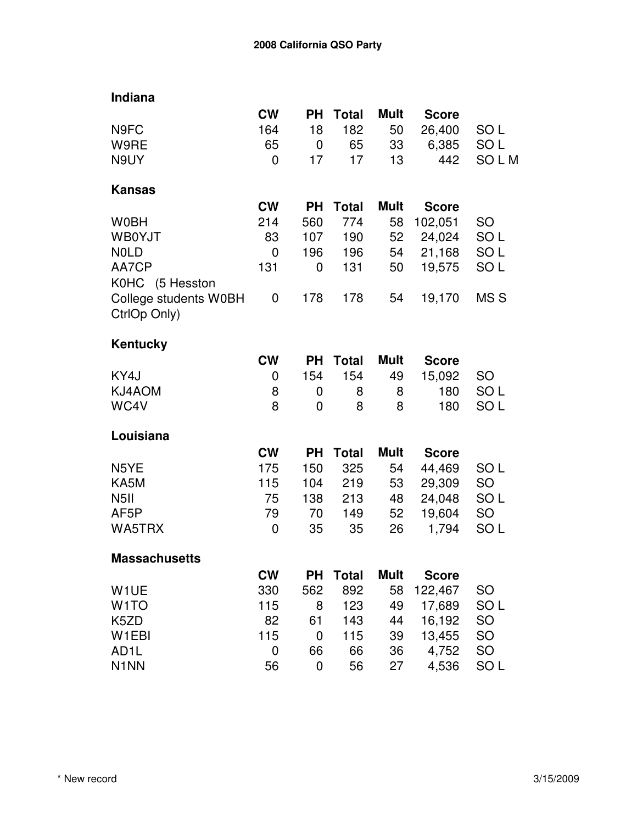| Indiana               |             |           |              |             |              |                 |
|-----------------------|-------------|-----------|--------------|-------------|--------------|-----------------|
|                       | <b>CW</b>   | <b>PH</b> | <b>Total</b> | <b>Mult</b> | <b>Score</b> |                 |
| N9FC                  | 164         | 18        | 182          | 50          | 26,400       | SO <sub>L</sub> |
| W9RE                  | 65          | 0         | 65           | 33          | 6,385        | SO <sub>L</sub> |
| N9UY                  | 0           | 17        | 17           | 13          | 442          | SOLM            |
| <b>Kansas</b>         |             |           |              |             |              |                 |
|                       | <b>CW</b>   | <b>PH</b> | <b>Total</b> | <b>Mult</b> | <b>Score</b> |                 |
| <b>W0BH</b>           | 214         | 560       | 774          | 58          | 102,051      | <b>SO</b>       |
| <b>WB0YJT</b>         | 83          | 107       | 190          | 52          | 24,024       | SO <sub>L</sub> |
| <b>NOLD</b>           | $\mathbf 0$ | 196       | 196          | 54          | 21,168       | SO <sub>L</sub> |
| AA7CP                 | 131         | 0         | 131          | 50          | 19,575       | SO <sub>L</sub> |
| K0HC (5 Hesston       |             |           |              |             |              |                 |
| College students W0BH | 0           | 178       | 178          | 54          | 19,170       | MS <sub>S</sub> |
| CtrlOp Only)          |             |           |              |             |              |                 |
| <b>Kentucky</b>       |             |           |              |             |              |                 |
|                       | <b>CW</b>   | <b>PH</b> | <b>Total</b> | <b>Mult</b> | <b>Score</b> |                 |
| KY4J                  | 0           | 154       | 154          | 49          | 15,092       | SO              |
| KJ4AOM                | 8           | 0         | 8            | 8           | 180          | SO <sub>L</sub> |
| WC4V                  | 8           | 0         | 8            | 8           | 180          | SO <sub>L</sub> |
| Louisiana             |             |           |              |             |              |                 |
|                       | <b>CW</b>   | <b>PH</b> | <b>Total</b> | <b>Mult</b> | <b>Score</b> |                 |
| N5YE                  | 175         | 150       | 325          | 54          | 44,469       | SO <sub>L</sub> |
| KA5M                  | 115         | 104       | 219          | 53          | 29,309       | SO              |
| N <sub>5</sub> II     | 75          | 138       | 213          | 48          | 24,048       | SO <sub>L</sub> |
| AF5P                  | 79          | 70        | 149          | 52          | 19,604       | <b>SO</b>       |
| WA5TRX                | 0           | 35        | 35           | 26          | 1,794        | SO <sub>L</sub> |
| <b>Massachusetts</b>  |             |           |              |             |              |                 |
|                       | <b>CW</b>   | PH        | <b>Total</b> | <b>Mult</b> | <b>Score</b> |                 |
| W <sub>1</sub> UE     | 330         | 562       | 892          | 58          | 122,467      | <b>SO</b>       |
| W <sub>1</sub> TO     | 115         | 8         | 123          | 49          | 17,689       | SO <sub>L</sub> |
| K5ZD                  | 82          | 61        | 143          | 44          | 16,192       | SO              |
| W <sub>1</sub> EBI    | 115         | 0         | 115          | 39          | 13,455       | SO              |
| AD <sub>1</sub> L     | 0           | 66        | 66           | 36          | 4,752        | <b>SO</b>       |
| N <sub>1</sub> NN     | 56          | 0         | 56           | 27          | 4,536        | SO <sub>L</sub> |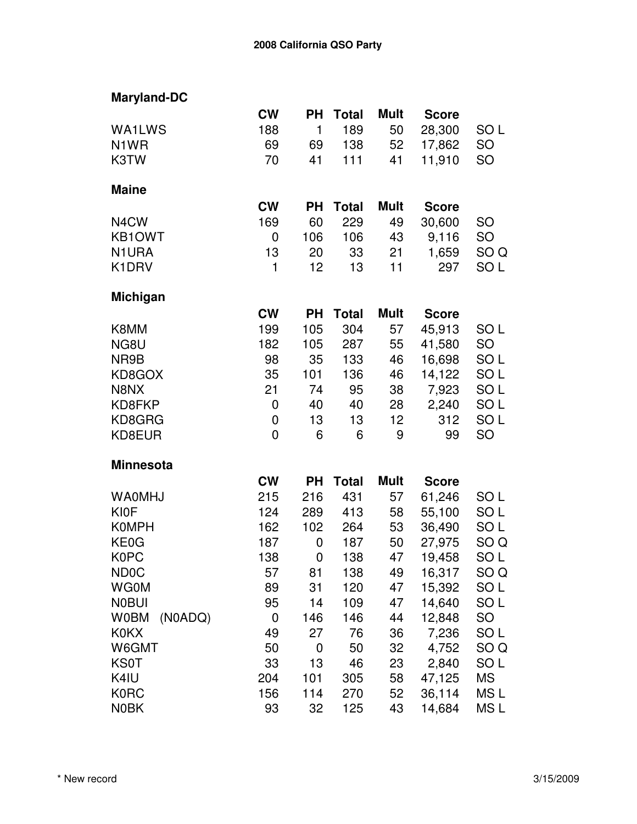| <b>Maryland-DC</b>     |                |             |              |                 |              |                 |
|------------------------|----------------|-------------|--------------|-----------------|--------------|-----------------|
|                        | <b>CW</b>      | <b>PH</b>   | <b>Total</b> | Mult            | <b>Score</b> |                 |
| <b>WA1LWS</b>          | 188            | $\mathbf 1$ | 189          | 50              | 28,300       | SO <sub>L</sub> |
| N <sub>1</sub> WR      | 69             | 69          | 138          | 52              | 17,862       | SO              |
| K3TW                   | 70             | 41          | 111          | 41              | 11,910       | SO              |
| <b>Maine</b>           |                |             |              |                 |              |                 |
|                        | <b>CW</b>      | <b>PH</b>   | <b>Total</b> | Mult            | <b>Score</b> |                 |
| N <sub>4</sub> CW      | 169            | 60          | 229          | 49              | 30,600       | SO              |
| <b>KB1OWT</b>          | 0              | 106         | 106          | 43              | 9,116        | SO              |
| N1URA                  | 13             | 20          | 33           | 21              | 1,659        | SO <sub>Q</sub> |
| K1DRV                  | 1              | 12          | 13           | 11              | 297          | SO L            |
| <b>Michigan</b>        |                |             |              |                 |              |                 |
|                        | <b>CW</b>      | <b>PH</b>   | <b>Total</b> | Mult            | <b>Score</b> |                 |
| K8MM                   | 199            | 105         | 304          | 57              | 45,913       | SO L            |
| NG8U                   | 182            | 105         | 287          | 55              | 41,580       | <b>SO</b>       |
| NR9B                   | 98             | 35          | 133          | 46              | 16,698       | SO <sub>L</sub> |
| KD8GOX                 | 35             | 101         | 136          | 46              | 14,122       | SO <sub>L</sub> |
| N8NX                   | 21             | 74          | 95           | 38              | 7,923        | SO <sub>L</sub> |
| KD8FKP                 | 0              | 40          | 40           | 28              | 2,240        | SO <sub>L</sub> |
| KD8GRG                 | 0              | 13          | 13           | 12 <sub>2</sub> | 312          | SO L            |
| KD8EUR                 | $\overline{0}$ | 6           | 6            | 9               | 99           | SO              |
| <b>Minnesota</b>       |                |             |              |                 |              |                 |
|                        | <b>CW</b>      | <b>PH</b>   | <b>Total</b> | <b>Mult</b>     | <b>Score</b> |                 |
| <b>WA0MHJ</b>          | 215            | 216         | 431          | 57              | 61,246       | SO L            |
| <b>KI0F</b>            | 124            | 289         | 413          | 58              | 55,100       | SO L            |
| <b>K0MPH</b>           | 162            | 102         | 264          | 53              | 36,490       | SO <sub>L</sub> |
| KE0G                   | 187            | 0           | 187          | 50              | 27,975       | SO <sub>Q</sub> |
| <b>K0PC</b>            | 138            | $\mathbf 0$ | 138          | 47              | 19,458       | SO L            |
| <b>ND0C</b>            | 57             | 81          | 138          | 49              | 16,317       | SO <sub>Q</sub> |
| <b>WG0M</b>            | 89             | 31          | 120          | 47              | 15,392       | SO L            |
| <b>NOBUI</b>           | 95             | 14          | 109          | 47              | 14,640       | SO <sub>L</sub> |
| <b>W0BM</b><br>(N0ADQ) | 0              | 146         | 146          | 44              | 12,848       | <b>SO</b>       |
| <b>K0KX</b>            | 49             | 27          | 76           | 36              | 7,236        | SO L            |
| W6GMT                  | 50             | 0           | 50           | 32              | 4,752        | SO <sub>Q</sub> |
| <b>KS0T</b>            | 33             | 13          | 46           | 23              | 2,840        | SO <sub>L</sub> |
| K4IU                   | 204            | 101         | 305          | 58              | 47,125       | MS              |
| <b>K0RC</b>            | 156            | 114         | 270          | 52              | 36,114       | MS L            |
| <b>N0BK</b>            | 93             | 32          | 125          | 43              | 14,684       | MS L            |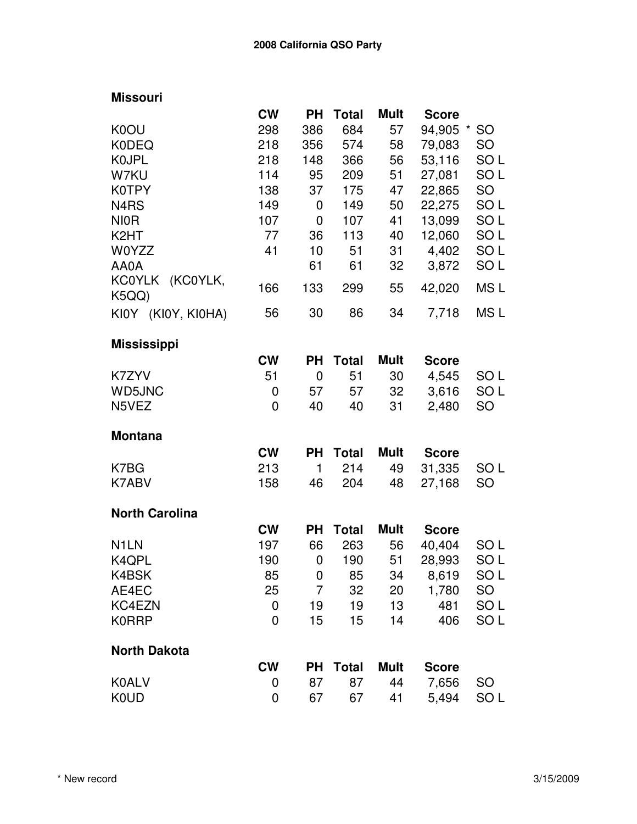## **Missouri**

|                                    | <b>CW</b>      | <b>PH</b>        | <b>Total</b> | <b>Mult</b> | <b>Score</b> |                      |
|------------------------------------|----------------|------------------|--------------|-------------|--------------|----------------------|
| K0OU                               | 298            | 386              | 684          | 57          | 94,905       | <b>SO</b><br>$\star$ |
| <b>K0DEQ</b>                       | 218            | 356              | 574          | 58          | 79,083       | <b>SO</b>            |
| <b>KOJPL</b>                       | 218            | 148              | 366          | 56          | 53,116       | SO <sub>L</sub>      |
| W7KU                               | 114            | 95               | 209          | 51          | 27,081       | SO <sub>L</sub>      |
| K0TPY                              | 138            | 37               | 175          | 47          | 22,865       | SO                   |
| N4RS                               | 149            | 0                | 149          | 50          | 22,275       | SO <sub>L</sub>      |
| <b>NIOR</b>                        | 107            | 0                | 107          | 41          | 13,099       | SO <sub>L</sub>      |
| K <sub>2</sub> HT                  | 77             | 36               | 113          | 40          | 12,060       | SO <sub>L</sub>      |
| W0YZZ                              | 41             | 10               | 51           | 31          | 4,402        | SO <sub>L</sub>      |
| AA0A                               |                | 61               | 61           | 32          | 3,872        | SO <sub>L</sub>      |
| <b>KC0YLK</b><br>(KC0YLK,<br>K5QQ) | 166            | 133              | 299          | 55          | 42,020       | MS <sub>L</sub>      |
| KI0Y (KI0Y, KI0HA)                 | 56             | 30               | 86           | 34          | 7,718        | MS <sub>L</sub>      |
| <b>Mississippi</b>                 |                |                  |              |             |              |                      |
|                                    | <b>CW</b>      | <b>PH</b>        | <b>Total</b> | Mult        | <b>Score</b> |                      |
| K7ZYV                              | 51             | 0                | 51           | 30          | 4,545        | SO L                 |
| <b>WD5JNC</b>                      | 0              | 57               | 57           | 32          | 3,616        | SO <sub>L</sub>      |
| N5VEZ                              | $\overline{0}$ | 40               | 40           | 31          | 2,480        | <b>SO</b>            |
| <b>Montana</b>                     |                |                  |              |             |              |                      |
|                                    | <b>CW</b>      | <b>PH</b>        | <b>Total</b> | Mult        | <b>Score</b> |                      |
| K7BG                               | 213            | 1                | 214          | 49          | 31,335       | SO <sub>L</sub>      |
| K7ABV                              | 158            | 46               | 204          | 48          | 27,168       | SO                   |
| <b>North Carolina</b>              |                |                  |              |             |              |                      |
|                                    | <b>CW</b>      | <b>PH</b>        | <b>Total</b> | <b>Mult</b> | <b>Score</b> |                      |
| N <sub>1</sub> LN                  | 197            | 66               | 263          | 56          | 40,404       | SO <sub>L</sub>      |
| K4QPL                              | 190            | 0                | 190          | 51          | 28,993       | SO <sub>L</sub>      |
| K4BSK                              | 85             | $\boldsymbol{0}$ | 85           | 34          | 8,619        | SO <sub>L</sub>      |
| AE4EC                              | 25             | 7                | 32           | 20          | 1,780        | SO.                  |
| KC4EZN                             | 0              | 19               | 19           | 13          | 481          | SO <sub>L</sub>      |
| <b>K0RRP</b>                       | 0              | 15               | 15           | 14          | 406          | SO <sub>L</sub>      |
| <b>North Dakota</b>                |                |                  |              |             |              |                      |
|                                    | <b>CW</b>      | <b>PH</b>        | <b>Total</b> | Mult        | <b>Score</b> |                      |
| <b>K0ALV</b>                       | 0              | 87               | 87           | 44          | 7,656        | <b>SO</b>            |
| <b>K0UD</b>                        | 0              | 67               | 67           | 41          | 5,494        | SO <sub>L</sub>      |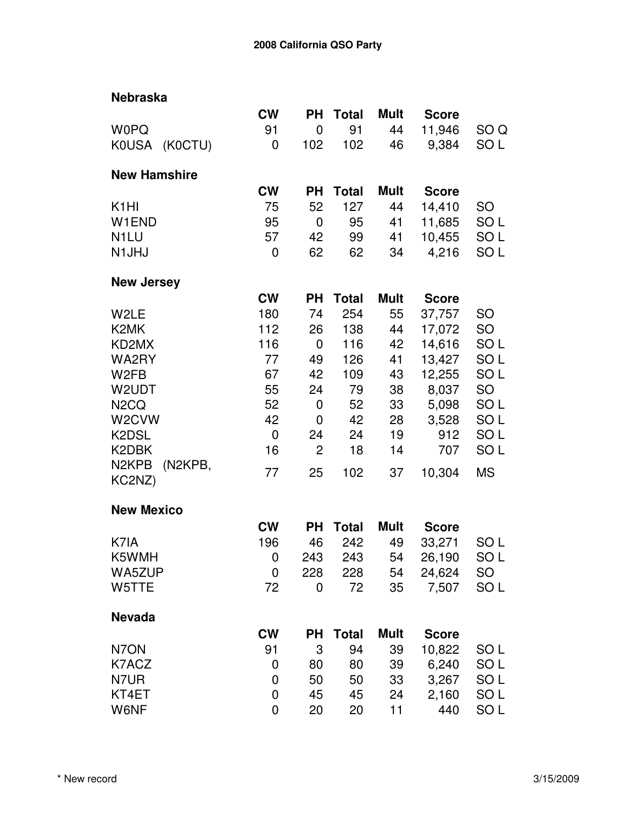| <b>Nebraska</b>               |             |                |              |             |              |                 |
|-------------------------------|-------------|----------------|--------------|-------------|--------------|-----------------|
|                               | <b>CW</b>   | <b>PH</b>      | <b>Total</b> | <b>Mult</b> | <b>Score</b> |                 |
| <b>W0PQ</b>                   | 91          | $\mathbf 0$    | 91           | 44          | 11,946       | SO Q            |
| KOUSA (KOCTU)                 | 0           | 102            | 102          | 46          | 9,384        | SO L            |
|                               |             |                |              |             |              |                 |
| <b>New Hamshire</b>           |             |                |              |             |              |                 |
|                               | <b>CW</b>   | <b>PH</b>      | <b>Total</b> | <b>Mult</b> | <b>Score</b> |                 |
| K <sub>1</sub> HI             | 75          | 52             | 127          | 44          | 14,410       | <b>SO</b>       |
| W1END                         | 95          | 0              | 95           | 41          | 11,685       | SO <sub>L</sub> |
| N <sub>1</sub> LU             | 57          | 42             | 99           | 41          | 10,455       | SO <sub>L</sub> |
| N <sub>1</sub> JHJ            | 0           | 62             | 62           | 34          | 4,216        | SO <sub>L</sub> |
| <b>New Jersey</b>             |             |                |              |             |              |                 |
|                               | <b>CW</b>   | <b>PH</b>      | <b>Total</b> | <b>Mult</b> | <b>Score</b> |                 |
| W2LE                          | 180         | 74             | 254          | 55          | 37,757       | <b>SO</b>       |
| K <sub>2</sub> MK             | 112         | 26             | 138          | 44          | 17,072       | <b>SO</b>       |
| KD2MX                         | 116         | 0              | 116          | 42          | 14,616       | SO <sub>L</sub> |
| WA2RY                         | 77          | 49             | 126          | 41          | 13,427       | SO <sub>L</sub> |
| W <sub>2</sub> FB             | 67          | 42             | 109          | 43          | 12,255       | SO <sub>L</sub> |
| W2UDT                         | 55          | 24             | 79           | 38          | 8,037        | <b>SO</b>       |
| N <sub>2</sub> CQ             | 52          | 0              | 52           | 33          | 5,098        | SO <sub>L</sub> |
| W <sub>2</sub> CVW            | 42          | $\mathbf 0$    | 42           | 28          | 3,528        | SO <sub>L</sub> |
| K2DSL                         | $\mathbf 0$ | 24             | 24           | 19          | 912          | SO <sub>L</sub> |
| K2DBK                         | 16          | $\overline{2}$ | 18           | 14          | 707          | SO <sub>L</sub> |
| N <sub>2</sub> KPB<br>(N2KPB, |             |                |              |             |              |                 |
| KC2NZ)                        | 77          | 25             | 102          | 37          | 10,304       | <b>MS</b>       |
| <b>New Mexico</b>             |             |                |              |             |              |                 |
|                               | <b>CW</b>   | <b>PH</b>      | <b>Total</b> | <b>Mult</b> | <b>Score</b> |                 |
| K7IA                          | 196         | 46             | 242          | 49          | 33,271       | SO L            |
| K5WMH                         | 0           | 243            | 243          | 54          | 26,190       | SO L            |
| WA5ZUP                        | 0           | 228            | 228          | 54          | 24,624       | SO              |
| W5TTE                         | 72          | 0              | 72           | 35          | 7,507        | SO <sub>L</sub> |
|                               |             |                |              |             |              |                 |
| <b>Nevada</b>                 |             |                |              |             |              |                 |
|                               | <b>CW</b>   | PН             | <b>Total</b> | <b>Mult</b> | <b>Score</b> |                 |
| N7ON                          | 91          | 3              | 94           | 39          | 10,822       | SO L            |
| K7ACZ                         | 0           | 80             | 80           | 39          | 6,240        | SO <sub>L</sub> |
| N7UR                          | 0           | 50             | 50           | 33          | 3,267        | SO L            |
| KT4ET                         | 0           | 45             | 45           | 24          | 2,160        | SO <sub>L</sub> |
| W6NF                          | $\mathbf 0$ | 20             | 20           | 11          | 440          | SO <sub>L</sub> |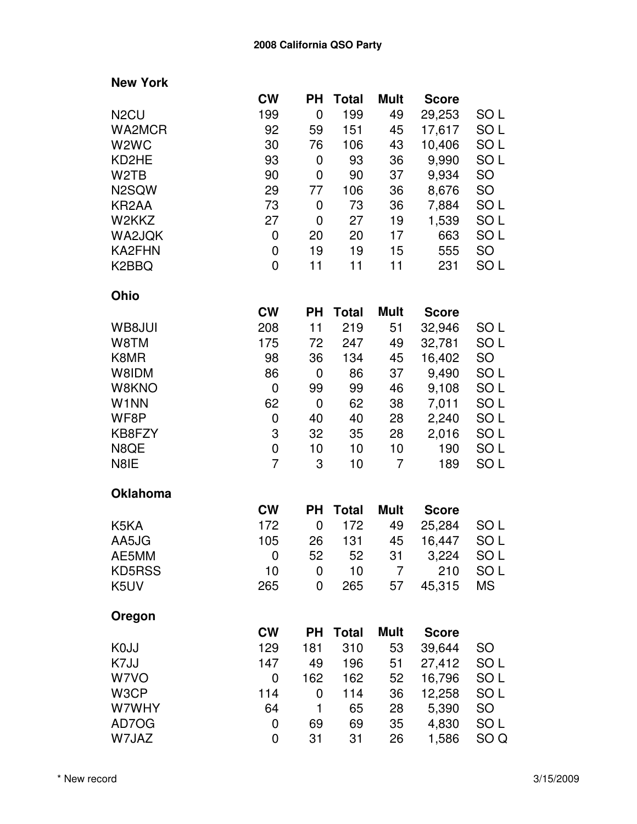| <b>New York</b>               |                |             |              |                 |              |                 |
|-------------------------------|----------------|-------------|--------------|-----------------|--------------|-----------------|
|                               | <b>CW</b>      | <b>PH</b>   | <b>Total</b> | <b>Mult</b>     | <b>Score</b> |                 |
| N <sub>2</sub> CU             | 199            | 0           | 199          | 49              | 29,253       | SO L            |
| WA2MCR                        | 92             | 59          | 151          | 45              | 17,617       | SO L            |
| W <sub>2</sub> W <sub>C</sub> | 30             | 76          | 106          | 43              | 10,406       | SO <sub>L</sub> |
| KD2HE                         | 93             | 0           | 93           | 36              | 9,990        | SO <sub>L</sub> |
| W <sub>2</sub> TB             | 90             | 0           | 90           | 37              | 9,934        | <b>SO</b>       |
| N <sub>2</sub> SQW            | 29             | 77          | 106          | 36              | 8,676        | <b>SO</b>       |
| KR <sub>2</sub> AA            | 73             | 0           | 73           | 36              | 7,884        | SO <sub>L</sub> |
| W2KKZ                         | 27             | $\mathbf 0$ | 27           | 19              | 1,539        | SO <sub>L</sub> |
| WA2JQK                        | 0              | 20          | 20           | 17              | 663          | SO L            |
| KA2FHN                        | $\mathbf 0$    | 19          | 19           | 15              | 555          | <b>SO</b>       |
| K <sub>2</sub> BBQ            | 0              | 11          | 11           | 11              | 231          | SO <sub>L</sub> |
| Ohio                          |                |             |              |                 |              |                 |
|                               | <b>CW</b>      | <b>PH</b>   | <b>Total</b> | <b>Mult</b>     | <b>Score</b> |                 |
| WB8JUI                        | 208            | 11          | 219          | 51              | 32,946       | SO L            |
| W8TM                          | 175            | 72          | 247          | 49              | 32,781       | SO <sub>L</sub> |
| K8MR                          | 98             | 36          | 134          | 45              | 16,402       | <b>SO</b>       |
| W8IDM                         | 86             | 0           | 86           | 37              | 9,490        | SO <sub>L</sub> |
| W8KNO                         | 0              | 99          | 99           | 46              | 9,108        | SO <sub>L</sub> |
| W1NN                          | 62             | $\mathbf 0$ | 62           | 38              | 7,011        | SO <sub>L</sub> |
| WF8P                          | 0              | 40          | 40           | 28              | 2,240        | SO <sub>L</sub> |
| KB8FZY                        | 3              | 32          | 35           | 28              | 2,016        | SO L            |
| N8QE                          | $\mathbf 0$    | 10          | 10           | 10 <sub>1</sub> | 190          | SO <sub>L</sub> |
| N8IE                          | $\overline{7}$ | 3           | 10           | $\overline{7}$  | 189          | SO <sub>L</sub> |
| <b>Oklahoma</b>               |                |             |              |                 |              |                 |
|                               | <b>CW</b>      | <b>PH</b>   | <b>Total</b> | <b>Mult</b>     | <b>Score</b> |                 |
| K5KA                          | 172            | 0           | 172          | 49              | 25,284       | SO <sub>L</sub> |
| AA5JG                         | 105            | 26          | 131          | 45              | 16,447       | SO L            |
| AE5MM                         | 0              | 52          | 52           | 31              | 3,224        | SO L            |
| KD5RSS                        | 10             | 0           | 10           | 7               | 210          | SO <sub>L</sub> |
| K5UV                          | 265            | 0           | 265          | 57              | 45,315       | МS              |
| Oregon                        |                |             |              |                 |              |                 |
|                               | <b>CW</b>      | <b>PH</b>   | <b>Total</b> | <b>Mult</b>     | <b>Score</b> |                 |
| K <sub>0</sub> JJ             | 129            | 181         | 310          | 53              | 39,644       | SO              |
| K7JJ                          | 147            | 49          | 196          | 51              | 27,412       | SO <sub>L</sub> |
| W7VO                          | 0              | 162         | 162          | 52              | 16,796       | SO <sub>L</sub> |
| W3CP                          | 114            | 0           | 114          | 36              | 12,258       | SO <sub>L</sub> |
| W7WHY                         | 64             | 1           | 65           | 28              | 5,390        | <b>SO</b>       |
| AD7OG                         | 0              | 69          | 69           | 35              | 4,830        | SO L            |
| W7JAZ                         | 0              | 31          | 31           | 26              | 1,586        | SO <sub>Q</sub> |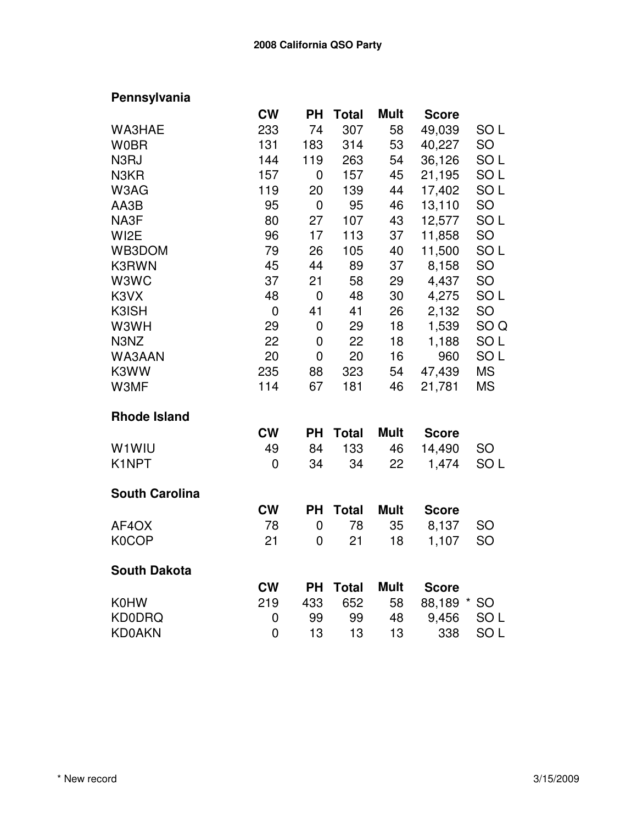## **Pennsylvania**

|                       | <b>CW</b>      | <b>PH</b>      | <b>Total</b> | <b>Mult</b> | <b>Score</b> |                 |
|-----------------------|----------------|----------------|--------------|-------------|--------------|-----------------|
| WA3HAE                | 233            | 74             | 307          | 58          | 49,039       | SO <sub>L</sub> |
| <b>W0BR</b>           | 131            | 183            | 314          | 53          | 40,227       | SO              |
| N3RJ                  | 144            | 119            | 263          | 54          | 36,126       | SO <sub>L</sub> |
| N3KR                  | 157            | 0              | 157          | 45          | 21,195       | SO <sub>L</sub> |
| W3AG                  | 119            | 20             | 139          | 44          | 17,402       | SO <sub>L</sub> |
| AA3B                  | 95             | $\mathbf 0$    | 95           | 46          | 13,110       | <b>SO</b>       |
| NA3F                  | 80             | 27             | 107          | 43          | 12,577       | SO <sub>L</sub> |
| WI <sub>2</sub> E     | 96             | 17             | 113          | 37          | 11,858       | SO              |
| WB3DOM                | 79             | 26             | 105          | 40          | 11,500       | SO <sub>L</sub> |
| K3RWN                 | 45             | 44             | 89           | 37          | 8,158        | SO              |
| W3WC                  | 37             | 21             | 58           | 29          | 4,437        | SO              |
| K3VX                  | 48             | $\mathbf 0$    | 48           | 30          | 4,275        | SO <sub>L</sub> |
| K3ISH                 | $\mathbf 0$    | 41             | 41           | 26          | 2,132        | <b>SO</b>       |
| W3WH                  | 29             | $\mathbf 0$    | 29           | 18          | 1,539        | SO <sub>Q</sub> |
| N3NZ                  | 22             | 0              | 22           | 18          | 1,188        | SO <sub>L</sub> |
| WA3AAN                | 20             | $\mathbf 0$    | 20           | 16          | 960          | SO <sub>L</sub> |
| K3WW                  | 235            | 88             | 323          | 54          | 47,439       | <b>MS</b>       |
| W3MF                  | 114            | 67             | 181          | 46          | 21,781       | <b>MS</b>       |
| <b>Rhode Island</b>   |                |                |              |             |              |                 |
|                       | <b>CW</b>      | <b>PH</b>      | <b>Total</b> | <b>Mult</b> | <b>Score</b> |                 |
| W1WIU                 | 49             | 84             | 133          | 46          | 14,490       | SO              |
| K1NPT                 | $\overline{0}$ | 34             | 34           | 22          | 1,474        | SO <sub>L</sub> |
| <b>South Carolina</b> |                |                |              |             |              |                 |
|                       | <b>CW</b>      | <b>PH</b>      | <b>Total</b> | <b>Mult</b> | <b>Score</b> |                 |
| AF4OX                 | 78             | $\mathbf 0$    | 78           | 35          | 8,137        | SO              |
| K0COP                 | 21             | $\overline{0}$ | 21           | 18          | 1,107        | <b>SO</b>       |
| <b>South Dakota</b>   |                |                |              |             |              |                 |
|                       | <b>CW</b>      | <b>PH</b>      | <b>Total</b> | <b>Mult</b> | <b>Score</b> |                 |
| <b>K0HW</b>           | 219            | 433            | 652          | 58          | 88,189       | <b>SO</b>       |
| <b>KD0DRQ</b>         | 0              | 99             | 99           | 48          | 9,456        | SO <sub>L</sub> |
| <b>KD0AKN</b>         | $\mathbf 0$    | 13             | 13           | 13          | 338          | SO <sub>L</sub> |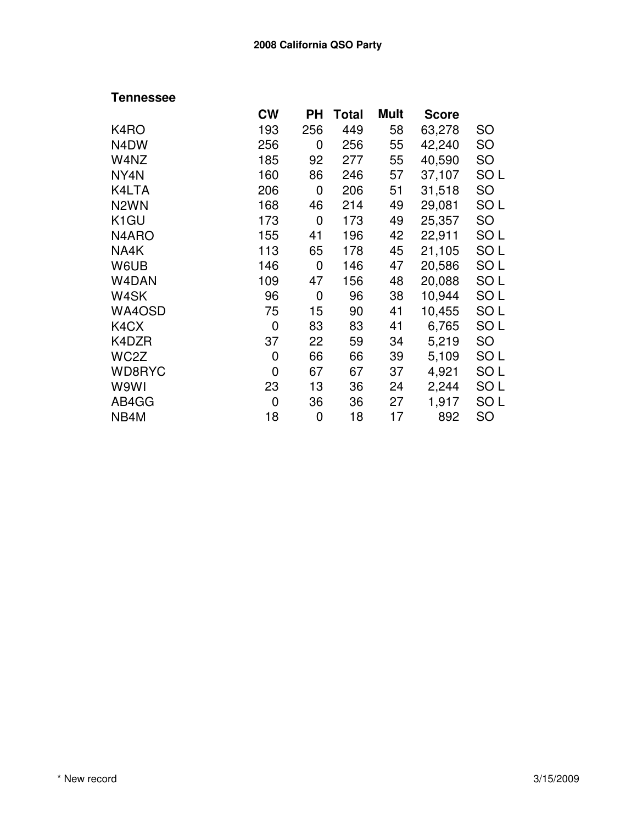## **Tennessee**

|                   | <b>CW</b> | PН  | Total | Mult | <b>Score</b> |                 |
|-------------------|-----------|-----|-------|------|--------------|-----------------|
| K4RO              | 193       | 256 | 449   | 58   | 63,278       | <b>SO</b>       |
| N <sub>4</sub> DW | 256       | 0   | 256   | 55   | 42,240       | <b>SO</b>       |
| W4NZ              | 185       | 92  | 277   | 55   | 40,590       | SO              |
| NY4N              | 160       | 86  | 246   | 57   | 37,107       | SO <sub>L</sub> |
| K4LTA             | 206       | 0   | 206   | 51   | 31,518       | <b>SO</b>       |
| N <sub>2</sub> WN | 168       | 46  | 214   | 49   | 29,081       | SO <sub>L</sub> |
| K <sub>1</sub> GU | 173       | 0   | 173   | 49   | 25,357       | SO              |
| N4ARO             | 155       | 41  | 196   | 42   | 22,911       | SO <sub>L</sub> |
| NA4K              | 113       | 65  | 178   | 45   | 21,105       | SO <sub>L</sub> |
| W6UB              | 146       | 0   | 146   | 47   | 20,586       | SO <sub>L</sub> |
| W4DAN             | 109       | 47  | 156   | 48   | 20,088       | SO <sub>L</sub> |
| W4SK              | 96        | 0   | 96    | 38   | 10,944       | SO <sub>L</sub> |
| WA4OSD            | 75        | 15  | 90    | 41   | 10,455       | SO <sub>L</sub> |
| K4CX              | 0         | 83  | 83    | 41   | 6,765        | SO <sub>L</sub> |
| K4DZR             | 37        | 22  | 59    | 34   | 5,219        | SO              |
| WC2Z              | 0         | 66  | 66    | 39   | 5,109        | SO <sub>L</sub> |
| WD8RYC            | 0         | 67  | 67    | 37   | 4,921        | SO <sub>L</sub> |
| W9WI              | 23        | 13  | 36    | 24   | 2,244        | SO <sub>L</sub> |
| AB4GG             | 0         | 36  | 36    | 27   | 1,917        | SO <sub>L</sub> |
| NB4M              | 18        | 0   | 18    | 17   | 892          | SO              |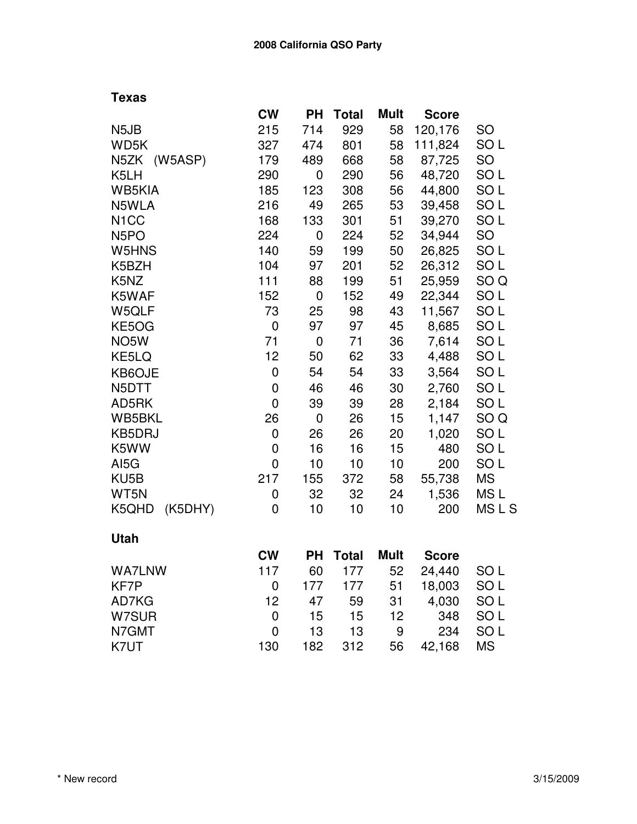|                               | <b>CW</b> | <b>PH</b> | <b>Total</b> | Mult        | <b>Score</b> |                 |
|-------------------------------|-----------|-----------|--------------|-------------|--------------|-----------------|
| N <sub>5</sub> J <sub>B</sub> | 215       | 714       | 929          | 58          | 120,176      | <b>SO</b>       |
| WD5K                          | 327       | 474       | 801          | 58          | 111,824      | SO <sub>L</sub> |
| (W5ASP)<br>N5ZK               | 179       | 489       | 668          | 58          | 87,725       | <b>SO</b>       |
| K5LH                          | 290       | 0         | 290          | 56          | 48,720       | SO <sub>L</sub> |
| WB5KIA                        | 185       | 123       | 308          | 56          | 44,800       | SO <sub>L</sub> |
| N5WLA                         | 216       | 49        | 265          | 53          | 39,458       | SO <sub>L</sub> |
| N <sub>1</sub> CC             | 168       | 133       | 301          | 51          | 39,270       | SO <sub>L</sub> |
| N <sub>5</sub> PO             | 224       | 0         | 224          | 52          | 34,944       | <b>SO</b>       |
| W5HNS                         | 140       | 59        | 199          | 50          | 26,825       | SO <sub>L</sub> |
| K5BZH                         | 104       | 97        | 201          | 52          | 26,312       | SO <sub>L</sub> |
| K5NZ                          | 111       | 88        | 199          | 51          | 25,959       | SO <sub>Q</sub> |
| K5WAF                         | 152       | 0         | 152          | 49          | 22,344       | SO <sub>L</sub> |
| W5QLF                         | 73        | 25        | 98           | 43          | 11,567       | SO <sub>L</sub> |
| KE5OG                         | 0         | 97        | 97           | 45          | 8,685        | SO <sub>L</sub> |
| NO <sub>5</sub> W             | 71        | 0         | 71           | 36          | 7,614        | SO <sub>L</sub> |
| KE5LQ                         | 12        | 50        | 62           | 33          | 4,488        | SO <sub>L</sub> |
| KB6OJE                        | 0         | 54        | 54           | 33          | 3,564        | SO <sub>L</sub> |
| N5DTT                         | 0         | 46        | 46           | 30          | 2,760        | SO <sub>L</sub> |
| AD5RK                         | 0         | 39        | 39           | 28          | 2,184        | SO <sub>L</sub> |
| WB5BKL                        | 26        | 0         | 26           | 15          | 1,147        | SO <sub>Q</sub> |
| <b>KB5DRJ</b>                 | 0         | 26        | 26           | 20          | 1,020        | SO <sub>L</sub> |
| K5WW                          | 0         | 16        | 16           | 15          | 480          | SO <sub>L</sub> |
| AI5G                          | 0         | 10        | 10           | 10          | 200          | SO <sub>L</sub> |
| KU5B                          | 217       | 155       | 372          | 58          | 55,738       | <b>MS</b>       |
| WT5N                          | 0         | 32        | 32           | 24          | 1,536        | MS <sub>L</sub> |
| (K5DHY)<br>K5QHD              | 0         | 10        | 10           | 10          | 200          | MSLS            |
| <b>Utah</b>                   |           |           |              |             |              |                 |
|                               | <b>CW</b> | <b>PH</b> | <b>Total</b> | <b>Mult</b> | <b>Score</b> |                 |
| <b>WA7LNW</b>                 | 117       | 60        | 177          | 52          | 24,440       | SO <sub>L</sub> |
| KF7P                          | 0         | 177       | 177          | 51          | 18,003       | SO <sub>L</sub> |
| AD7KG                         | 12        | 47        | 59           | 31          | 4,030        | SO <sub>L</sub> |
| W7SUR                         | 0         | 15        | 15           | 12          | 348          | SO <sub>L</sub> |
| N7GMT                         | 0         | 13        | 13           | 9           | 234          | SO <sub>L</sub> |
| K7UT                          | 130       | 182       | 312          | 56          | 42,168       | <b>MS</b>       |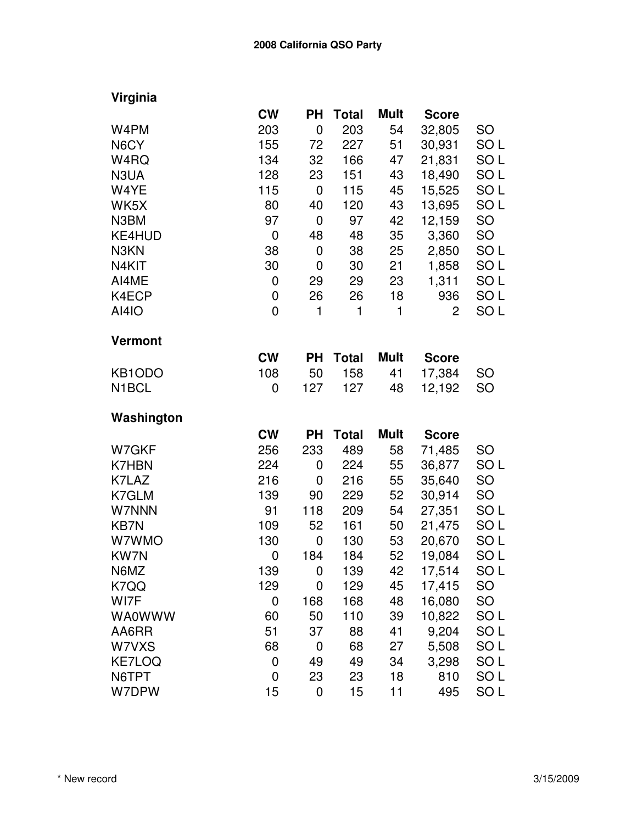| Virginia |  |
|----------|--|
|          |  |

|                    | <b>CW</b>   | <b>PH</b>   | <b>Total</b> | <b>Mult</b> | <b>Score</b> |                 |
|--------------------|-------------|-------------|--------------|-------------|--------------|-----------------|
| W4PM               | 203         | $\mathbf 0$ | 203          | 54          | 32,805       | <b>SO</b>       |
| N6CY               | 155         | 72          | 227          | 51          | 30,931       | SO <sub>L</sub> |
| W4RQ               | 134         | 32          | 166          | 47          | 21,831       | SO L            |
| N3UA               | 128         | 23          | 151          | 43          | 18,490       | SO <sub>L</sub> |
| W4YE               | 115         | 0           | 115          | 45          | 15,525       | SO <sub>L</sub> |
| WK5X               | 80          | 40          | 120          | 43          | 13,695       | SO <sub>L</sub> |
| N3BM               | 97          | $\mathbf 0$ | 97           | 42          | 12,159       | <b>SO</b>       |
| KE4HUD             | 0           | 48          | 48           | 35          | 3,360        | SO              |
| N3KN               | 38          | $\mathbf 0$ | 38           | 25          | 2,850        | SO <sub>L</sub> |
| N4KIT              | 30          | 0           | 30           | 21          | 1,858        | SO <sub>L</sub> |
| AI4ME              | 0           | 29          | 29           | 23          | 1,311        | SO <sub>L</sub> |
| K4ECP              | 0           | 26          | 26           | 18          | 936          | SO <sub>L</sub> |
| <b>AI4IO</b>       | $\mathbf 0$ | 1           | 1            | 1           | 2            | SO <sub>L</sub> |
| <b>Vermont</b>     |             |             |              |             |              |                 |
|                    | <b>CW</b>   | <b>PH</b>   | <b>Total</b> | <b>Mult</b> | <b>Score</b> |                 |
| KB1ODO             | 108         | 50          | 158          | 41          | 17,384       | SO              |
| N <sub>1</sub> BCL | 0           | 127         | 127          | 48          | 12,192       | SO              |
| Washington         |             |             |              |             |              |                 |
|                    | <b>CW</b>   | <b>PH</b>   | <b>Total</b> | <b>Mult</b> | <b>Score</b> |                 |
| W7GKF              | 256         | 233         | 489          | 58          | 71,485       | <b>SO</b>       |
| <b>K7HBN</b>       | 224         | 0           | 224          | 55          | 36,877       | SO <sub>L</sub> |
| K7LAZ              | 216         | 0           | 216          | 55          | 35,640       | <b>SO</b>       |
| K7GLM              | 139         | 90          | 229          | 52          | 30,914       | SO              |
| W7NNN              | 91          | 118         | 209          | 54          | 27,351       | SO <sub>L</sub> |
| <b>KB7N</b>        | 109         | 52          | 161          | 50          | 21,475       | SO <sub>L</sub> |
| W7WMO              | 130         | 0           | 130          | 53          | 20,670       | SO <sub>L</sub> |
| KW7N               | 0           | 184         | 184          | 52          | 19,084       | SO <sub>L</sub> |
| N6MZ               | 139         | 0           | 139          | 42          | 17,514       | SO L            |
| K7QQ               | 129         | 0           | 129          | 45          | 17,415       | SO              |
| WI7F               | 0           | 168         | 168          | 48          | 16,080       | SO              |
| <b>WA0WWW</b>      | 60          | 50          | 110          | 39          | 10,822       | SO <sub>L</sub> |
| AA6RR              | 51          | 37          | 88           | 41          | 9,204        | SO <sub>L</sub> |
| W7VXS              | 68          | 0           | 68           | 27          | 5,508        | SO <sub>L</sub> |
| <b>KE7LOQ</b>      | 0           | 49          | 49           | 34          | 3,298        | SO <sub>L</sub> |
| N6TPT              | 0           | 23          | 23           | 18          | 810          | SO <sub>L</sub> |
| W7DPW              | 15          | $\mathbf 0$ | 15           | 11          | 495          | SO <sub>L</sub> |